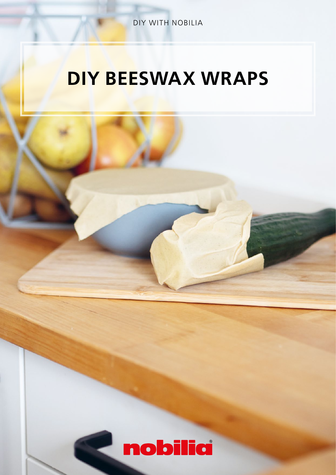DIY WITH NOBILIA

## DIY BEESWAX WRAPS